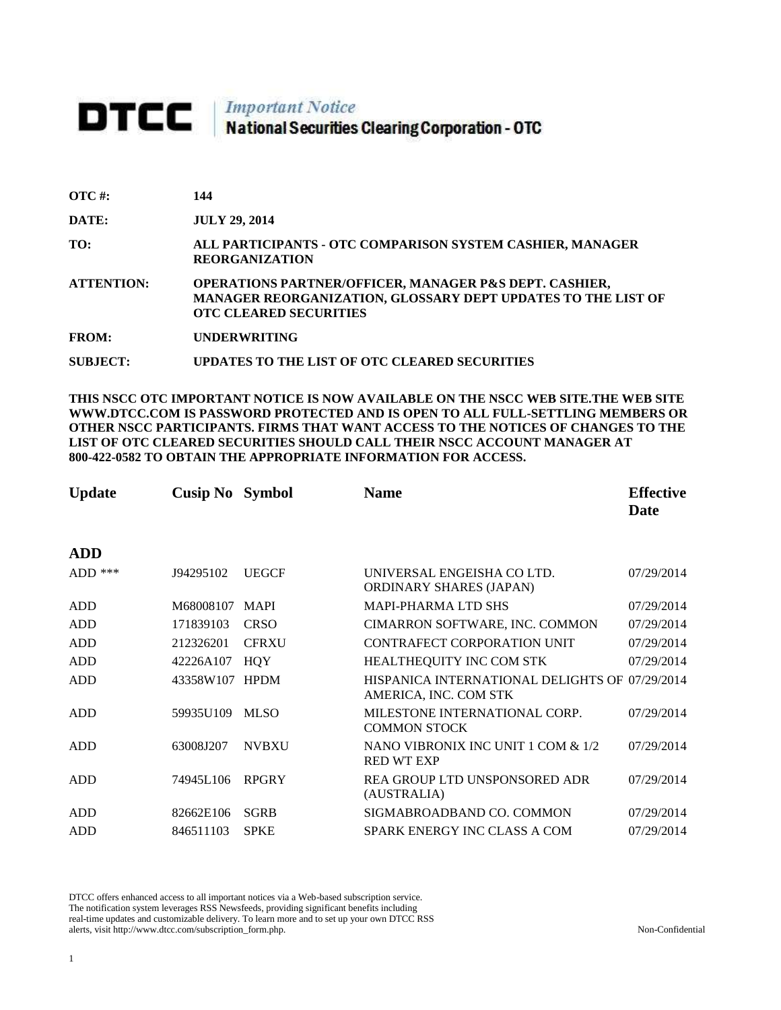# **DTCC** National Securities Clearing Corporation - OTC

| $\overline{OTC}$ #: | 144                                                                                                                                                                |
|---------------------|--------------------------------------------------------------------------------------------------------------------------------------------------------------------|
| DATE:               | <b>JULY 29, 2014</b>                                                                                                                                               |
| TO:                 | ALL PARTICIPANTS - OTC COMPARISON SYSTEM CASHIER, MANAGER<br><b>REORGANIZATION</b>                                                                                 |
| <b>ATTENTION:</b>   | <b>OPERATIONS PARTNER/OFFICER, MANAGER P&amp;S DEPT. CASHIER,</b><br>MANAGER REORGANIZATION, GLOSSARY DEPT UPDATES TO THE LIST OF<br><b>OTC CLEARED SECURITIES</b> |
| <b>FROM:</b>        | <b>UNDERWRITING</b>                                                                                                                                                |
| <b>SUBJECT:</b>     | UPDATES TO THE LIST OF OTC CLEARED SECURITIES                                                                                                                      |

**THIS NSCC OTC IMPORTANT NOTICE IS NOW AVAILABLE ON THE NSCC WEB SITE.THE WEB SITE WWW.DTCC.COM IS PASSWORD PROTECTED AND IS OPEN TO ALL FULL-SETTLING MEMBERS OR OTHER NSCC PARTICIPANTS. FIRMS THAT WANT ACCESS TO THE NOTICES OF CHANGES TO THE LIST OF OTC CLEARED SECURITIES SHOULD CALL THEIR NSCC ACCOUNT MANAGER AT 800-422-0582 TO OBTAIN THE APPROPRIATE INFORMATION FOR ACCESS.** 

| <b>Update</b> | <b>Cusip No</b> Symbol |              | <b>Name</b>                                                             | <b>Effective</b><br>Date |
|---------------|------------------------|--------------|-------------------------------------------------------------------------|--------------------------|
| <b>ADD</b>    |                        |              |                                                                         |                          |
| $ADD$ ***     | J94295102              | <b>UEGCF</b> | UNIVERSAL ENGEISHA CO LTD.<br><b>ORDINARY SHARES (JAPAN)</b>            | 07/29/2014               |
| ADD           | M68008107              | <b>MAPI</b>  | <b>MAPI-PHARMA LTD SHS</b>                                              | 07/29/2014               |
| ADD           | 171839103              | <b>CRSO</b>  | CIMARRON SOFTWARE, INC. COMMON                                          | 07/29/2014               |
| <b>ADD</b>    | 212326201              | <b>CFRXU</b> | CONTRAFECT CORPORATION UNIT                                             | 07/29/2014               |
| <b>ADD</b>    | 42226A107              | <b>HQY</b>   | HEALTHEQUITY INC COM STK                                                | 07/29/2014               |
| <b>ADD</b>    | 43358W107 HPDM         |              | HISPANICA INTERNATIONAL DELIGHTS OF 07/29/2014<br>AMERICA, INC. COM STK |                          |
| <b>ADD</b>    | 59935U109              | <b>MLSO</b>  | MILESTONE INTERNATIONAL CORP.<br><b>COMMON STOCK</b>                    | 07/29/2014               |
| ADD           | 63008J207              | <b>NVBXU</b> | NANO VIBRONIX INC UNIT 1 COM & 1/2<br><b>RED WT EXP</b>                 | 07/29/2014               |
| <b>ADD</b>    | 74945L106              | <b>RPGRY</b> | REA GROUP LTD UNSPONSORED ADR<br>(AUSTRALIA)                            | 07/29/2014               |
| <b>ADD</b>    | 82662E106              | <b>SGRB</b>  | SIGMABROADBAND CO. COMMON                                               | 07/29/2014               |
| <b>ADD</b>    | 846511103              | <b>SPKE</b>  | SPARK ENERGY INC CLASS A COM                                            | 07/29/2014               |

DTCC offers enhanced access to all important notices via a Web-based subscription service. The notification system leverages RSS Newsfeeds, providing significant benefits including real-time updates and customizable delivery. To learn more and to set up your own DTCC RSS alerts, visit http://www.dtcc.com/subscription\_form.php. Non-Confidential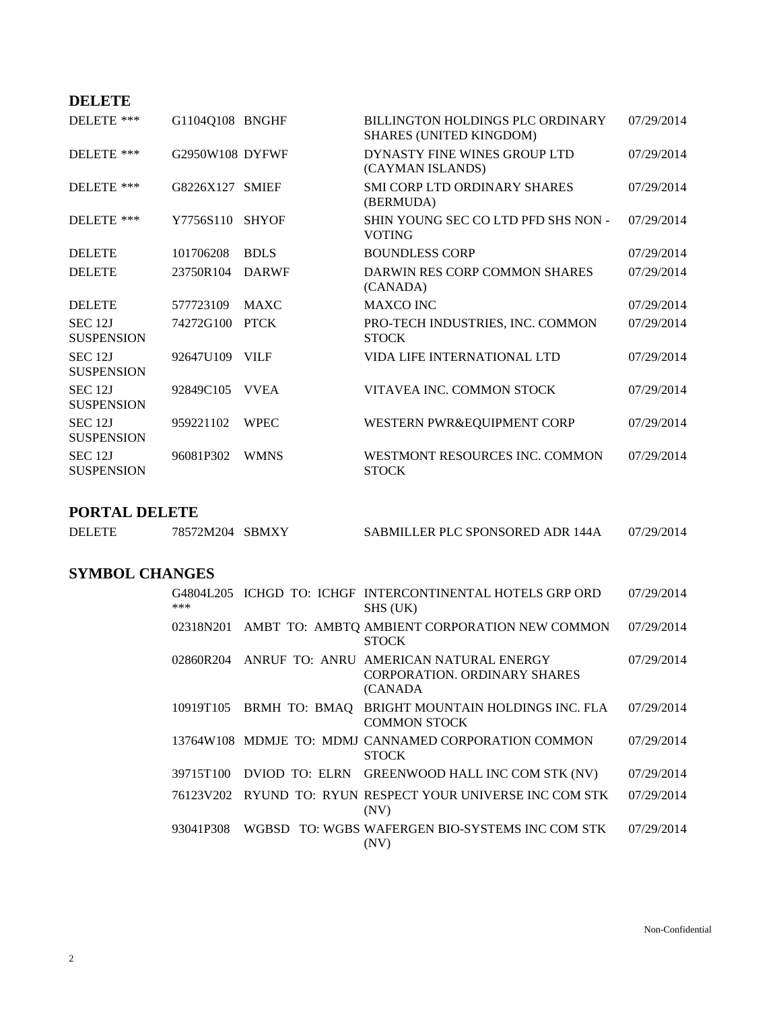## **DELETE**

| DELETE ***                              | G1104Q108 BNGHF |              | BILLINGTON HOLDINGS PLC ORDINARY<br>SHARES (UNITED KINGDOM) | 07/29/2014 |
|-----------------------------------------|-----------------|--------------|-------------------------------------------------------------|------------|
| DELETE ***                              | G2950W108 DYFWF |              | DYNASTY FINE WINES GROUP LTD<br>(CAYMAN ISLANDS)            | 07/29/2014 |
| DELETE ***                              | G8226X127 SMIEF |              | SMI CORP LTD ORDINARY SHARES<br>(BERMUDA)                   | 07/29/2014 |
| DELETE ***                              | Y7756S110       | <b>SHYOF</b> | SHIN YOUNG SEC CO LTD PFD SHS NON -<br><b>VOTING</b>        | 07/29/2014 |
| <b>DELETE</b>                           | 101706208       | <b>BDLS</b>  | <b>BOUNDLESS CORP</b>                                       | 07/29/2014 |
| <b>DELETE</b>                           | 23750R104       | <b>DARWF</b> | DARWIN RES CORP COMMON SHARES<br>(CANADA)                   | 07/29/2014 |
| <b>DELETE</b>                           | 577723109       | <b>MAXC</b>  | <b>MAXCO INC</b>                                            | 07/29/2014 |
| <b>SEC 12J</b><br><b>SUSPENSION</b>     | 74272G100       | <b>PTCK</b>  | PRO-TECH INDUSTRIES, INC. COMMON<br><b>STOCK</b>            | 07/29/2014 |
| <b>SEC 12J</b><br><b>SUSPENSION</b>     | 92647U109       | VILF         | VIDA LIFE INTERNATIONAL LTD                                 | 07/29/2014 |
| SEC <sub>12J</sub><br><b>SUSPENSION</b> | 92849C105       | <b>VVEA</b>  | VITAVEA INC. COMMON STOCK                                   | 07/29/2014 |
| SEC 12J<br><b>SUSPENSION</b>            | 959221102       | <b>WPEC</b>  | WESTERN PWR&EQUIPMENT CORP                                  | 07/29/2014 |
| SEC <sub>12J</sub><br><b>SUSPENSION</b> | 96081P302       | <b>WMNS</b>  | WESTMONT RESOURCES INC. COMMON<br><b>STOCK</b>              | 07/29/2014 |

## **PORTAL DELETE**

| <b>DELETE</b> | 78572M204 SBMXY | SABMILLER PLC SPONSORED ADR 144A | 07/29/2014 |
|---------------|-----------------|----------------------------------|------------|
|               |                 |                                  |            |

# **SYMBOL CHANGES**

|           |               | G4804L205 ICHGD TO: ICHGF INTERCONTINENTAL HOTELS GRP ORD                                    | 07/29/2014 |
|-----------|---------------|----------------------------------------------------------------------------------------------|------------|
| ***       |               | SHS (UK)                                                                                     |            |
| 02318N201 |               | AMBT TO: AMBTQ AMBIENT CORPORATION NEW COMMON<br><b>STOCK</b>                                | 07/29/2014 |
|           |               | 02860R204 ANRUF TO: ANRU AMERICAN NATURAL ENERGY<br>CORPORATION, ORDINARY SHARES<br>(CANADA) | 07/29/2014 |
| 10919T105 | BRMH TO: BMAO | BRIGHT MOUNTAIN HOLDINGS INC. FLA<br><b>COMMON STOCK</b>                                     | 07/29/2014 |
|           |               | 13764W108 MDMJE TO: MDMJ CANNAMED CORPORATION COMMON<br><b>STOCK</b>                         | 07/29/2014 |
| 39715T100 |               | DVIOD TO: ELRN GREENWOOD HALL INC COM STK (NV)                                               | 07/29/2014 |
|           |               | 76123V202 RYUND TO: RYUN RESPECT YOUR UNIVERSE INC COM STK<br>(NV)                           | 07/29/2014 |
| 93041P308 |               | WGBSD TO: WGBS WAFERGEN BIO-SYSTEMS INC COM STK<br>(NV)                                      | 07/29/2014 |